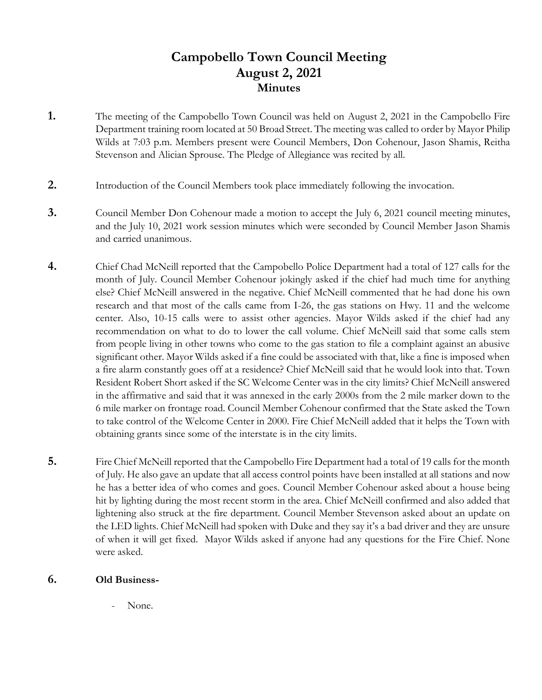# **Campobello Town Council Meeting August 2, 2021 Minutes**

- **1.** The meeting of the Campobello Town Council was held on August 2, 2021 in the Campobello Fire Department training room located at 50 Broad Street. The meeting was called to order by Mayor Philip Wilds at 7:03 p.m. Members present were Council Members, Don Cohenour, Jason Shamis, Reitha Stevenson and Alician Sprouse. The Pledge of Allegiance was recited by all.
- **2.** Introduction of the Council Members took place immediately following the invocation.
- **3.** Council Member Don Cohenour made a motion to accept the July 6, 2021 council meeting minutes, and the July 10, 2021 work session minutes which were seconded by Council Member Jason Shamis and carried unanimous.
- **4.** Chief Chad McNeill reported that the Campobello Police Department had a total of 127 calls for the month of July. Council Member Cohenour jokingly asked if the chief had much time for anything else? Chief McNeill answered in the negative. Chief McNeill commented that he had done his own research and that most of the calls came from I-26, the gas stations on Hwy. 11 and the welcome center. Also, 10-15 calls were to assist other agencies. Mayor Wilds asked if the chief had any recommendation on what to do to lower the call volume. Chief McNeill said that some calls stem from people living in other towns who come to the gas station to file a complaint against an abusive significant other. Mayor Wilds asked if a fine could be associated with that, like a fine is imposed when a fire alarm constantly goes off at a residence? Chief McNeill said that he would look into that. Town Resident Robert Short asked if the SC Welcome Center was in the city limits? Chief McNeill answered in the affirmative and said that it was annexed in the early 2000s from the 2 mile marker down to the 6 mile marker on frontage road. Council Member Cohenour confirmed that the State asked the Town to take control of the Welcome Center in 2000. Fire Chief McNeill added that it helps the Town with obtaining grants since some of the interstate is in the city limits.
- **5.** Fire Chief McNeill reported that the Campobello Fire Department had a total of 19 calls for the month of July. He also gave an update that all access control points have been installed at all stations and now he has a better idea of who comes and goes. Council Member Cohenour asked about a house being hit by lighting during the most recent storm in the area. Chief McNeill confirmed and also added that lightening also struck at the fire department. Council Member Stevenson asked about an update on the LED lights. Chief McNeill had spoken with Duke and they say it's a bad driver and they are unsure of when it will get fixed. Mayor Wilds asked if anyone had any questions for the Fire Chief. None were asked.

## **6. Old Business-**

None.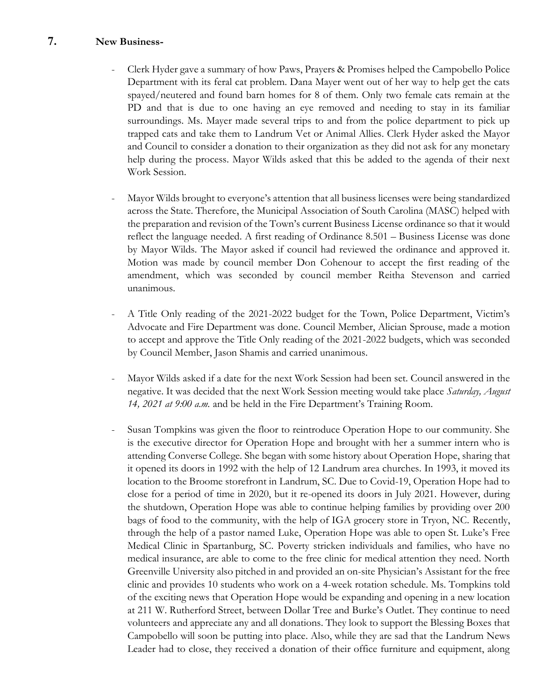### **7. New Business-**

- Clerk Hyder gave a summary of how Paws, Prayers & Promises helped the Campobello Police Department with its feral cat problem. Dana Mayer went out of her way to help get the cats spayed/neutered and found barn homes for 8 of them. Only two female cats remain at the PD and that is due to one having an eye removed and needing to stay in its familiar surroundings. Ms. Mayer made several trips to and from the police department to pick up trapped cats and take them to Landrum Vet or Animal Allies. Clerk Hyder asked the Mayor and Council to consider a donation to their organization as they did not ask for any monetary help during the process. Mayor Wilds asked that this be added to the agenda of their next Work Session.
- Mayor Wilds brought to everyone's attention that all business licenses were being standardized across the State. Therefore, the Municipal Association of South Carolina (MASC) helped with the preparation and revision of the Town's current Business License ordinance so that it would reflect the language needed. A first reading of Ordinance 8.501 – Business License was done by Mayor Wilds. The Mayor asked if council had reviewed the ordinance and approved it. Motion was made by council member Don Cohenour to accept the first reading of the amendment, which was seconded by council member Reitha Stevenson and carried unanimous.
- A Title Only reading of the 2021-2022 budget for the Town, Police Department, Victim's Advocate and Fire Department was done. Council Member, Alician Sprouse, made a motion to accept and approve the Title Only reading of the 2021-2022 budgets, which was seconded by Council Member, Jason Shamis and carried unanimous.
- Mayor Wilds asked if a date for the next Work Session had been set. Council answered in the negative. It was decided that the next Work Session meeting would take place *Saturday, August 14, 2021 at 9:00 a.m.* and be held in the Fire Department's Training Room.
- Susan Tompkins was given the floor to reintroduce Operation Hope to our community. She is the executive director for Operation Hope and brought with her a summer intern who is attending Converse College. She began with some history about Operation Hope, sharing that it opened its doors in 1992 with the help of 12 Landrum area churches. In 1993, it moved its location to the Broome storefront in Landrum, SC. Due to Covid-19, Operation Hope had to close for a period of time in 2020, but it re-opened its doors in July 2021. However, during the shutdown, Operation Hope was able to continue helping families by providing over 200 bags of food to the community, with the help of IGA grocery store in Tryon, NC. Recently, through the help of a pastor named Luke, Operation Hope was able to open St. Luke's Free Medical Clinic in Spartanburg, SC. Poverty stricken individuals and families, who have no medical insurance, are able to come to the free clinic for medical attention they need. North Greenville University also pitched in and provided an on-site Physician's Assistant for the free clinic and provides 10 students who work on a 4-week rotation schedule. Ms. Tompkins told of the exciting news that Operation Hope would be expanding and opening in a new location at 211 W. Rutherford Street, between Dollar Tree and Burke's Outlet. They continue to need volunteers and appreciate any and all donations. They look to support the Blessing Boxes that Campobello will soon be putting into place. Also, while they are sad that the Landrum News Leader had to close, they received a donation of their office furniture and equipment, along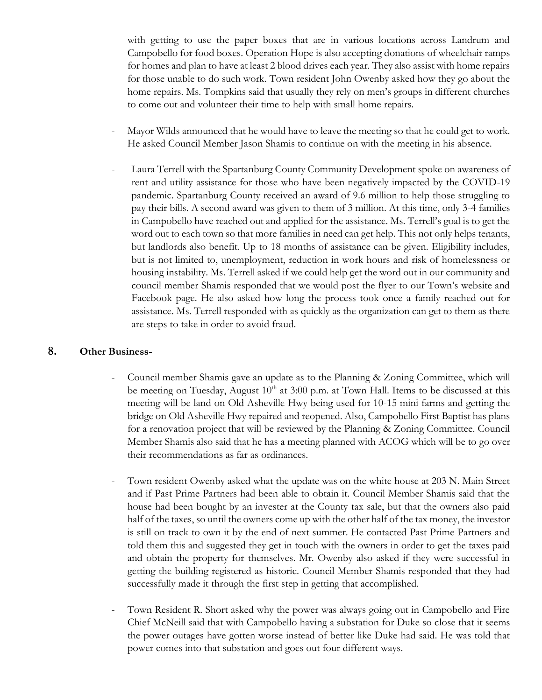with getting to use the paper boxes that are in various locations across Landrum and Campobello for food boxes. Operation Hope is also accepting donations of wheelchair ramps for homes and plan to have at least 2 blood drives each year. They also assist with home repairs for those unable to do such work. Town resident John Owenby asked how they go about the home repairs. Ms. Tompkins said that usually they rely on men's groups in different churches to come out and volunteer their time to help with small home repairs.

- Mayor Wilds announced that he would have to leave the meeting so that he could get to work. He asked Council Member Jason Shamis to continue on with the meeting in his absence.
- Laura Terrell with the Spartanburg County Community Development spoke on awareness of rent and utility assistance for those who have been negatively impacted by the COVID-19 pandemic. Spartanburg County received an award of 9.6 million to help those struggling to pay their bills. A second award was given to them of 3 million. At this time, only 3-4 families in Campobello have reached out and applied for the assistance. Ms. Terrell's goal is to get the word out to each town so that more families in need can get help. This not only helps tenants, but landlords also benefit. Up to 18 months of assistance can be given. Eligibility includes, but is not limited to, unemployment, reduction in work hours and risk of homelessness or housing instability. Ms. Terrell asked if we could help get the word out in our community and council member Shamis responded that we would post the flyer to our Town's website and Facebook page. He also asked how long the process took once a family reached out for assistance. Ms. Terrell responded with as quickly as the organization can get to them as there are steps to take in order to avoid fraud.

### **8. Other Business-**

- Council member Shamis gave an update as to the Planning & Zoning Committee, which will be meeting on Tuesday, August  $10<sup>th</sup>$  at  $3:00$  p.m. at Town Hall. Items to be discussed at this meeting will be land on Old Asheville Hwy being used for 10-15 mini farms and getting the bridge on Old Asheville Hwy repaired and reopened. Also, Campobello First Baptist has plans for a renovation project that will be reviewed by the Planning & Zoning Committee. Council Member Shamis also said that he has a meeting planned with ACOG which will be to go over their recommendations as far as ordinances.
- Town resident Owenby asked what the update was on the white house at 203 N. Main Street and if Past Prime Partners had been able to obtain it. Council Member Shamis said that the house had been bought by an invester at the County tax sale, but that the owners also paid half of the taxes, so until the owners come up with the other half of the tax money, the investor is still on track to own it by the end of next summer. He contacted Past Prime Partners and told them this and suggested they get in touch with the owners in order to get the taxes paid and obtain the property for themselves. Mr. Owenby also asked if they were successful in getting the building registered as historic. Council Member Shamis responded that they had successfully made it through the first step in getting that accomplished.
- Town Resident R. Short asked why the power was always going out in Campobello and Fire Chief McNeill said that with Campobello having a substation for Duke so close that it seems the power outages have gotten worse instead of better like Duke had said. He was told that power comes into that substation and goes out four different ways.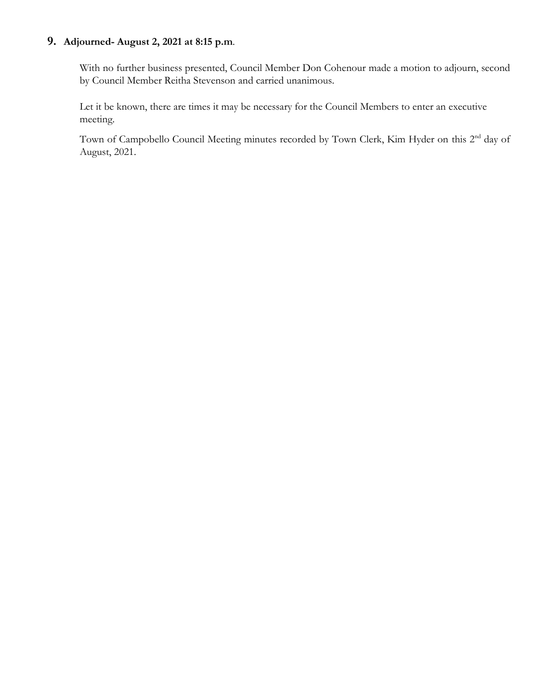## **9. Adjourned- August 2, 2021 at 8:15 p.m**.

With no further business presented, Council Member Don Cohenour made a motion to adjourn, second by Council Member Reitha Stevenson and carried unanimous.

 Let it be known, there are times it may be necessary for the Council Members to enter an executive meeting.

Town of Campobello Council Meeting minutes recorded by Town Clerk, Kim Hyder on this 2<sup>nd</sup> day of August, 2021.